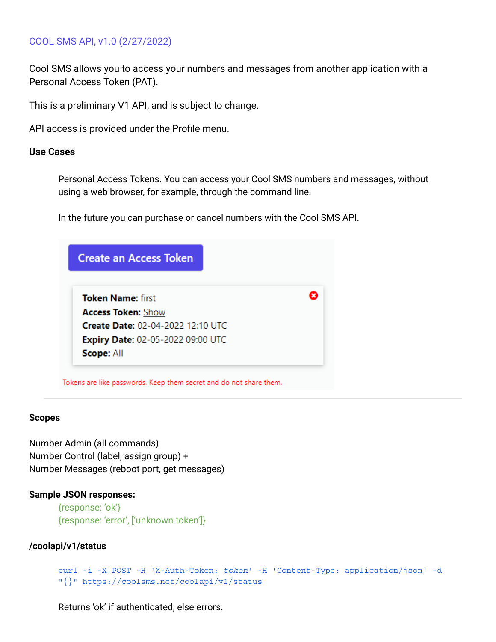# COOL SMS API, v1.0 (2/27/2022)

Cool SMS allows you to access your numbers and messages from another application with a Personal Access Token (PAT).

This is a preliminary V1 API, and is subject to change.

API access is provided under the Profile menu.

## **Use Cases**

Personal Access Tokens. You can access your Cool SMS numbers and messages, without using a web browser, for example, through the command line.

In the future you can purchase or cancel numbers with the Cool SMS API.

| <b>Create an Access Token</b>            |   |
|------------------------------------------|---|
| <b>Token Name: first</b>                 | Ø |
| <b>Access Token: Show</b>                |   |
| <b>Create Date: 02-04-2022 12:10 UTC</b> |   |
| <b>Expiry Date: 02-05-2022 09:00 UTC</b> |   |
| Scope: All                               |   |

#### **Scopes**

Number Admin (all commands) Number Control (label, assign group) + Number Messages (reboot port, get messages)

## **Sample JSON responses:**

{response: 'ok'} {response: 'error', ['unknown token']}

## **/coolapi/v1/status**

```
curl -i -X POST -H 'X-Auth-Token: token' -H 'Content-Type: application/json' -d
"{}" https://coolsms.net/coolapi/v1/status
```
Returns 'ok' if authenticated, else errors.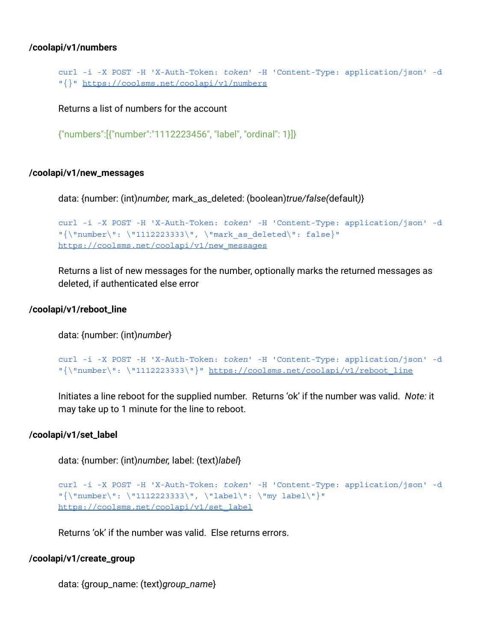### **/coolapi/v1/numbers**

```
curl -i -X POST -H 'X-Auth-Token: token' -H 'Content-Type: application/json' -d
"{}" https://coolsms.net/coolapi/v1/numbers
```
Returns a list of numbers for the account

```
{"numbers":[{"number":"1112223456", "label", "ordinal": 1}]}
```
#### **/coolapi/v1/new\_messages**

data: {number: (int)*number,* mark\_as\_deleted: (boolean)*true/false(*default*)*}

```
curl -i -X POST -H 'X-Auth-Token: token' -H 'Content-Type: application/json' -d
"\{\Upsilonumber\Upsilon: \Upsilon1112223333\Upsilon, \Upsilonmark as deleted\Upsilon: false}"
https://coolsms.net/coolapi/v1/new_messages
```
Returns a list of new messages for the number, optionally marks the returned messages as deleted, if authenticated else error

#### **/coolapi/v1/reboot\_line**

data: {number: (int)*number*}

```
curl -i -X POST -H 'X-Auth-Token: token' -H 'Content-Type: application/json' -d
"{\"number\": \"1112223333\"}" https://coolsms.net/coolapi/v1/reboot_line
```
Initiates a line reboot for the supplied number. Returns 'ok' if the number was valid. *Note:* it may take up to 1 minute for the line to reboot.

#### **/coolapi/v1/set\_label**

data: {number: (int)*number,* label: (text)*label*}

```
curl -i -X POST -H 'X-Auth-Token: token' -H 'Content-Type: application/json' -d
"{\"number\": \"1112223333\", \"label\": \"my label\"}"
https://coolsms.net/coolapi/v1/set_label
```
Returns 'ok' if the number was valid. Else returns errors.

#### **/coolapi/v1/create\_group**

data: {group\_name: (text)*group\_name*}